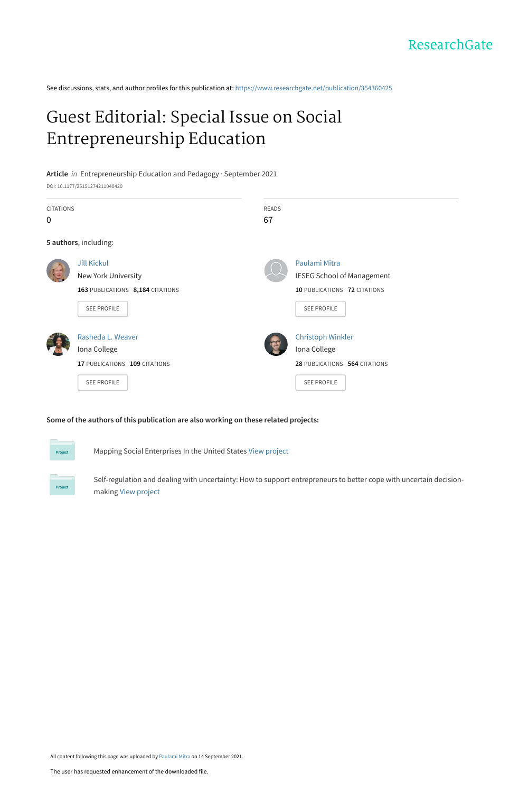See discussions, stats, and author profiles for this publication at: [https://www.researchgate.net/publication/354360425](https://www.researchgate.net/publication/354360425_Guest_Editorial_Special_Issue_on_Social_Entrepreneurship_Education?enrichId=rgreq-f918d98f546047cd33e62c08aab5c5e0-XXX&enrichSource=Y292ZXJQYWdlOzM1NDM2MDQyNTtBUzoxMDY3ODgxODc3OTk5NjE2QDE2MzE2MTQyODgxNjg%3D&el=1_x_2&_esc=publicationCoverPdf)

# [Guest Editorial: Special Issue on Social](https://www.researchgate.net/publication/354360425_Guest_Editorial_Special_Issue_on_Social_Entrepreneurship_Education?enrichId=rgreq-f918d98f546047cd33e62c08aab5c5e0-XXX&enrichSource=Y292ZXJQYWdlOzM1NDM2MDQyNTtBUzoxMDY3ODgxODc3OTk5NjE2QDE2MzE2MTQyODgxNjg%3D&el=1_x_3&_esc=publicationCoverPdf) Entrepreneurship Education

**Article** in Entrepreneurship Education and Pedagogy · September 2021

DOI: 10.1177/25151274211040420

| <b>CITATIONS</b><br>$\Omega$ |                                                                                              | <b>READS</b><br>67 |                                                                                                          |
|------------------------------|----------------------------------------------------------------------------------------------|--------------------|----------------------------------------------------------------------------------------------------------|
| 5 authors, including:        |                                                                                              |                    |                                                                                                          |
|                              | <b>Jill Kickul</b><br>New York University<br>163 PUBLICATIONS 8,184 CITATIONS<br>SEE PROFILE |                    | Paulami Mitra<br><b>IESEG School of Management</b><br>10 PUBLICATIONS 72 CITATIONS<br><b>SEE PROFILE</b> |
|                              | Rasheda L. Weaver<br>Iona College<br>17 PUBLICATIONS 109 CITATIONS<br>SEE PROFILE            |                    | <b>Christoph Winkler</b><br>Iona College<br>28 PUBLICATIONS 564 CITATIONS<br><b>SEE PROFILE</b>          |

**Some of the authors of this publication are also working on these related projects:**



Mapping Social Enterprises In the United States [View project](https://www.researchgate.net/project/Mapping-Social-Enterprises-In-the-United-States?enrichId=rgreq-f918d98f546047cd33e62c08aab5c5e0-XXX&enrichSource=Y292ZXJQYWdlOzM1NDM2MDQyNTtBUzoxMDY3ODgxODc3OTk5NjE2QDE2MzE2MTQyODgxNjg%3D&el=1_x_9&_esc=publicationCoverPdf)

Self-regulation and dealing with uncertainty: How to support entrepreneurs to better cope with uncertain decisionmaking [View project](https://www.researchgate.net/project/Self-regulation-and-dealing-with-uncertainty-How-to-support-entrepreneurs-to-better-cope-with-uncertain-decision-making?enrichId=rgreq-f918d98f546047cd33e62c08aab5c5e0-XXX&enrichSource=Y292ZXJQYWdlOzM1NDM2MDQyNTtBUzoxMDY3ODgxODc3OTk5NjE2QDE2MzE2MTQyODgxNjg%3D&el=1_x_9&_esc=publicationCoverPdf)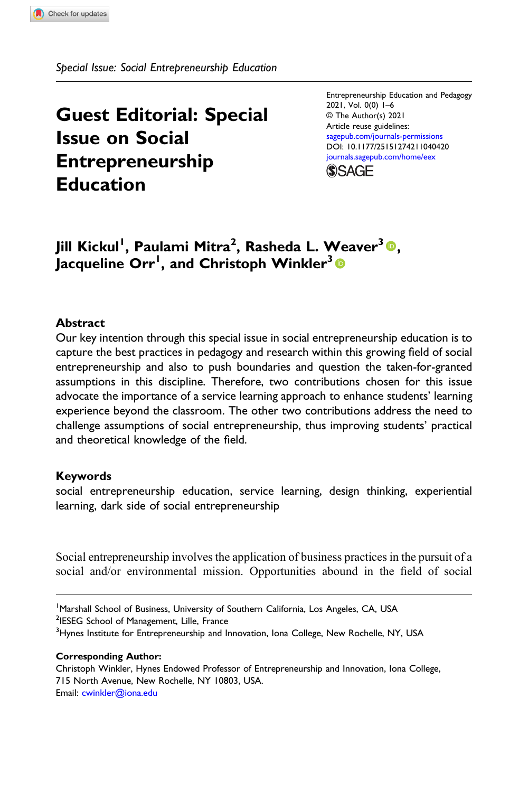Special Issue: Social Entrepreneurship Education

# Guest Editorial: Special Issue on Social Entrepreneurship Education

Entrepreneurship Education and Pedagogy 2021, Vol. 0(0) 1–6 © The Author(s) 2021 Article reuse guidelines: [sagepub.com/journals-permissions](https://us.sagepub.com/en-us/journals-permissions) DOI: [10.1177/25151274211040420](https://doi.org/10.1177/25151274211040420) [journals.sagepub.com/home/eex](https://journals.sagepub.com/home/eex)



## Jill Kickul<sup>1</sup> , Paulami Mitra<sup>2</sup> , Rasheda L. Weaver3, Jacqueline Orr<sup>1</sup>, and Christoph Winkler $^3\mathbf{\textcolor{red}{\bullet}}$

## **Abstract**

Our key intention through this special issue in social entrepreneurship education is to capture the best practices in pedagogy and research within this growing field of social entrepreneurship and also to push boundaries and question the taken-for-granted assumptions in this discipline. Therefore, two contributions chosen for this issue advocate the importance of a service learning approach to enhance students' learning experience beyond the classroom. The other two contributions address the need to challenge assumptions of social entrepreneurship, thus improving students' practical and theoretical knowledge of the field.

## Keywords

social entrepreneurship education, service learning, design thinking, experiential learning, dark side of social entrepreneurship

Social entrepreneurship involves the application of business practices in the pursuit of a social and/or environmental mission. Opportunities abound in the field of social

#### Corresponding Author:

Christoph Winkler, Hynes Endowed Professor of Entrepreneurship and Innovation, Iona College, 715 North Avenue, New Rochelle, NY 10803, USA. Email: [cwinkler@iona.edu](mailto:cwinkler@iona.edu)

<sup>&</sup>lt;sup>1</sup>Marshall School of Business, University of Southern California, Los Angeles, CA, USA <sup>2</sup>IESEG School of Management, Lille, France

<sup>&</sup>lt;sup>3</sup> Hynes Institute for Entrepreneurship and Innovation, Iona College, New Rochelle, NY, USA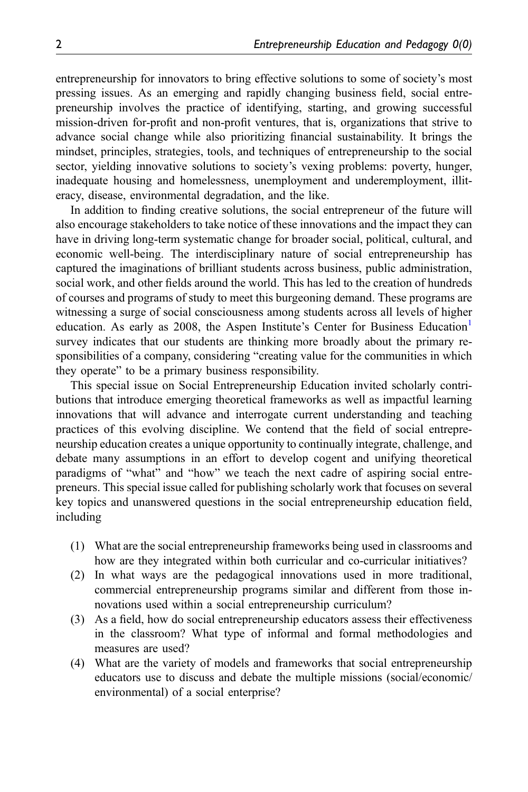entrepreneurship for innovators to bring effective solutions to some of society's most pressing issues. As an emerging and rapidly changing business field, social entrepreneurship involves the practice of identifying, starting, and growing successful mission-driven for-profit and non-profit ventures, that is, organizations that strive to advance social change while also prioritizing financial sustainability. It brings the mindset, principles, strategies, tools, and techniques of entrepreneurship to the social sector, yielding innovative solutions to society's vexing problems: poverty, hunger, inadequate housing and homelessness, unemployment and underemployment, illiteracy, disease, environmental degradation, and the like.

In addition to finding creative solutions, the social entrepreneur of the future will also encourage stakeholders to take notice of these innovations and the impact they can have in driving long-term systematic change for broader social, political, cultural, and economic well-being. The interdisciplinary nature of social entrepreneurship has captured the imaginations of brilliant students across business, public administration, social work, and other fields around the world. This has led to the creation of hundreds of courses and programs of study to meet this burgeoning demand. These programs are witnessing a surge of social consciousness among students across all levels of higher education. As early as  $2008$ , the Aspen Institute's Center for Business Education<sup>[1](#page-6-0)</sup> survey indicates that our students are thinking more broadly about the primary responsibilities of a company, considering "creating value for the communities in which they operate" to be a primary business responsibility.

This special issue on Social Entrepreneurship Education invited scholarly contributions that introduce emerging theoretical frameworks as well as impactful learning innovations that will advance and interrogate current understanding and teaching practices of this evolving discipline. We contend that the field of social entrepreneurship education creates a unique opportunity to continually integrate, challenge, and debate many assumptions in an effort to develop cogent and unifying theoretical paradigms of "what" and "how" we teach the next cadre of aspiring social entrepreneurs. This special issue called for publishing scholarly work that focuses on several key topics and unanswered questions in the social entrepreneurship education field, including

- (1) What are the social entrepreneurship frameworks being used in classrooms and how are they integrated within both curricular and co-curricular initiatives?
- (2) In what ways are the pedagogical innovations used in more traditional, commercial entrepreneurship programs similar and different from those innovations used within a social entrepreneurship curriculum?
- (3) As a field, how do social entrepreneurship educators assess their effectiveness in the classroom? What type of informal and formal methodologies and measures are used?
- (4) What are the variety of models and frameworks that social entrepreneurship educators use to discuss and debate the multiple missions (social/economic/ environmental) of a social enterprise?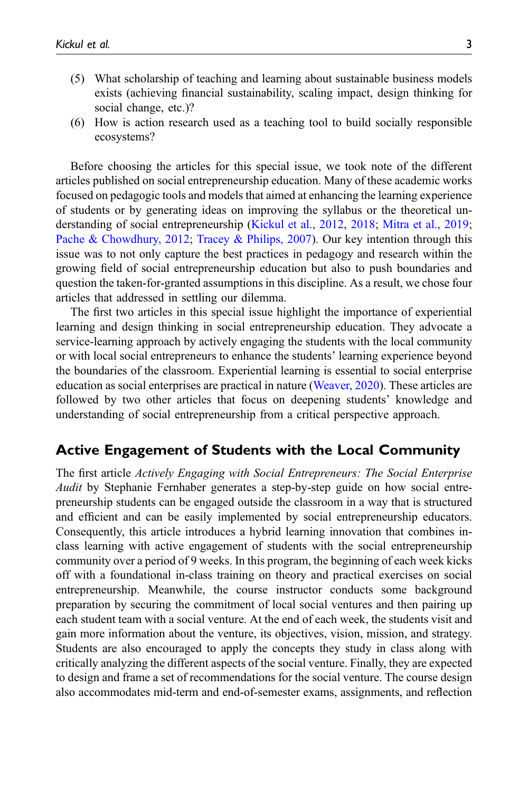- (5) What scholarship of teaching and learning about sustainable business models exists (achieving financial sustainability, scaling impact, design thinking for social change, etc.)?
- (6) How is action research used as a teaching tool to build socially responsible ecosystems?

Before choosing the articles for this special issue, we took note of the different articles published on social entrepreneurship education. Many of these academic works focused on pedagogic tools and models that aimed at enhancing the learning experience of students or by generating ideas on improving the syllabus or the theoretical understanding of social entrepreneurship ([Kickul et al., 2012](#page-6-1), [2018](#page-6-2); [Mitra et al., 2019;](#page-6-3) [Pache & Chowdhury, 2012](#page-6-4); [Tracey & Philips, 2007](#page-6-5)). Our key intention through this issue was to not only capture the best practices in pedagogy and research within the growing field of social entrepreneurship education but also to push boundaries and question the taken-for-granted assumptions in this discipline. As a result, we chose four articles that addressed in settling our dilemma.

The first two articles in this special issue highlight the importance of experiential learning and design thinking in social entrepreneurship education. They advocate a service-learning approach by actively engaging the students with the local community or with local social entrepreneurs to enhance the students' learning experience beyond the boundaries of the classroom. Experiential learning is essential to social enterprise education as social enterprises are practical in nature [\(Weaver, 2020](#page-6-6)). These articles are followed by two other articles that focus on deepening students' knowledge and understanding of social entrepreneurship from a critical perspective approach.

## Active Engagement of Students with the Local Community

The first article Actively Engaging with Social Entrepreneurs: The Social Enterprise Audit by Stephanie Fernhaber generates a step-by-step guide on how social entrepreneurship students can be engaged outside the classroom in a way that is structured and efficient and can be easily implemented by social entrepreneurship educators. Consequently, this article introduces a hybrid learning innovation that combines inclass learning with active engagement of students with the social entrepreneurship community over a period of 9 weeks. In this program, the beginning of each week kicks off with a foundational in-class training on theory and practical exercises on social entrepreneurship. Meanwhile, the course instructor conducts some background preparation by securing the commitment of local social ventures and then pairing up each student team with a social venture. At the end of each week, the students visit and gain more information about the venture, its objectives, vision, mission, and strategy. Students are also encouraged to apply the concepts they study in class along with critically analyzing the different aspects of the social venture. Finally, they are expected to design and frame a set of recommendations for the social venture. The course design also accommodates mid-term and end-of-semester exams, assignments, and reflection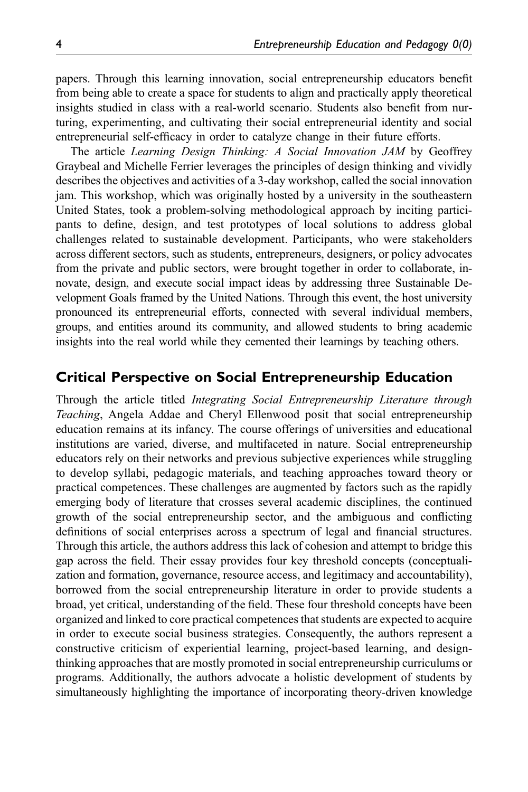papers. Through this learning innovation, social entrepreneurship educators benefit from being able to create a space for students to align and practically apply theoretical insights studied in class with a real-world scenario. Students also benefit from nurturing, experimenting, and cultivating their social entrepreneurial identity and social entrepreneurial self-efficacy in order to catalyze change in their future efforts.

The article Learning Design Thinking: A Social Innovation JAM by Geoffrey Graybeal and Michelle Ferrier leverages the principles of design thinking and vividly describes the objectives and activities of a 3-day workshop, called the social innovation jam. This workshop, which was originally hosted by a university in the southeastern United States, took a problem-solving methodological approach by inciting participants to define, design, and test prototypes of local solutions to address global challenges related to sustainable development. Participants, who were stakeholders across different sectors, such as students, entrepreneurs, designers, or policy advocates from the private and public sectors, were brought together in order to collaborate, innovate, design, and execute social impact ideas by addressing three Sustainable Development Goals framed by the United Nations. Through this event, the host university pronounced its entrepreneurial efforts, connected with several individual members, groups, and entities around its community, and allowed students to bring academic insights into the real world while they cemented their learnings by teaching others.

## Critical Perspective on Social Entrepreneurship Education

Through the article titled Integrating Social Entrepreneurship Literature through Teaching, Angela Addae and Cheryl Ellenwood posit that social entrepreneurship education remains at its infancy. The course offerings of universities and educational institutions are varied, diverse, and multifaceted in nature. Social entrepreneurship educators rely on their networks and previous subjective experiences while struggling to develop syllabi, pedagogic materials, and teaching approaches toward theory or practical competences. These challenges are augmented by factors such as the rapidly emerging body of literature that crosses several academic disciplines, the continued growth of the social entrepreneurship sector, and the ambiguous and conflicting definitions of social enterprises across a spectrum of legal and financial structures. Through this article, the authors address this lack of cohesion and attempt to bridge this gap across the field. Their essay provides four key threshold concepts (conceptualization and formation, governance, resource access, and legitimacy and accountability), borrowed from the social entrepreneurship literature in order to provide students a broad, yet critical, understanding of the field. These four threshold concepts have been organized and linked to core practical competences that students are expected to acquire in order to execute social business strategies. Consequently, the authors represent a constructive criticism of experiential learning, project-based learning, and designthinking approaches that are mostly promoted in social entrepreneurship curriculums or programs. Additionally, the authors advocate a holistic development of students by simultaneously highlighting the importance of incorporating theory-driven knowledge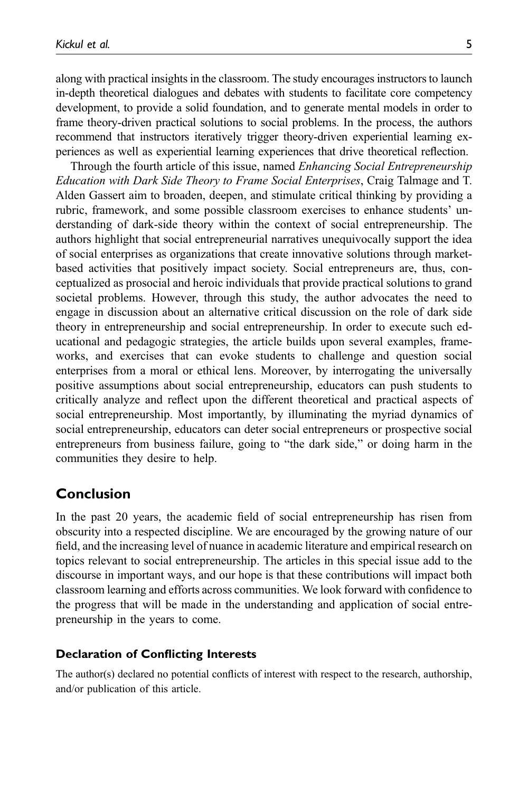along with practical insights in the classroom. The study encourages instructors to launch in-depth theoretical dialogues and debates with students to facilitate core competency development, to provide a solid foundation, and to generate mental models in order to frame theory-driven practical solutions to social problems. In the process, the authors recommend that instructors iteratively trigger theory-driven experiential learning experiences as well as experiential learning experiences that drive theoretical reflection.

Through the fourth article of this issue, named *Enhancing Social Entrepreneurship* Education with Dark Side Theory to Frame Social Enterprises, Craig Talmage and T. Alden Gassert aim to broaden, deepen, and stimulate critical thinking by providing a rubric, framework, and some possible classroom exercises to enhance students' understanding of dark-side theory within the context of social entrepreneurship. The authors highlight that social entrepreneurial narratives unequivocally support the idea of social enterprises as organizations that create innovative solutions through marketbased activities that positively impact society. Social entrepreneurs are, thus, conceptualized as prosocial and heroic individuals that provide practical solutions to grand societal problems. However, through this study, the author advocates the need to engage in discussion about an alternative critical discussion on the role of dark side theory in entrepreneurship and social entrepreneurship. In order to execute such educational and pedagogic strategies, the article builds upon several examples, frameworks, and exercises that can evoke students to challenge and question social enterprises from a moral or ethical lens. Moreover, by interrogating the universally positive assumptions about social entrepreneurship, educators can push students to critically analyze and reflect upon the different theoretical and practical aspects of social entrepreneurship. Most importantly, by illuminating the myriad dynamics of social entrepreneurship, educators can deter social entrepreneurs or prospective social entrepreneurs from business failure, going to "the dark side," or doing harm in the communities they desire to help.

## Conclusion

In the past 20 years, the academic field of social entrepreneurship has risen from obscurity into a respected discipline. We are encouraged by the growing nature of our field, and the increasing level of nuance in academic literature and empirical research on topics relevant to social entrepreneurship. The articles in this special issue add to the discourse in important ways, and our hope is that these contributions will impact both classroom learning and efforts across communities. We look forward with confidence to the progress that will be made in the understanding and application of social entrepreneurship in the years to come.

### Declaration of Conflicting Interests

The author(s) declared no potential conflicts of interest with respect to the research, authorship, and/or publication of this article.